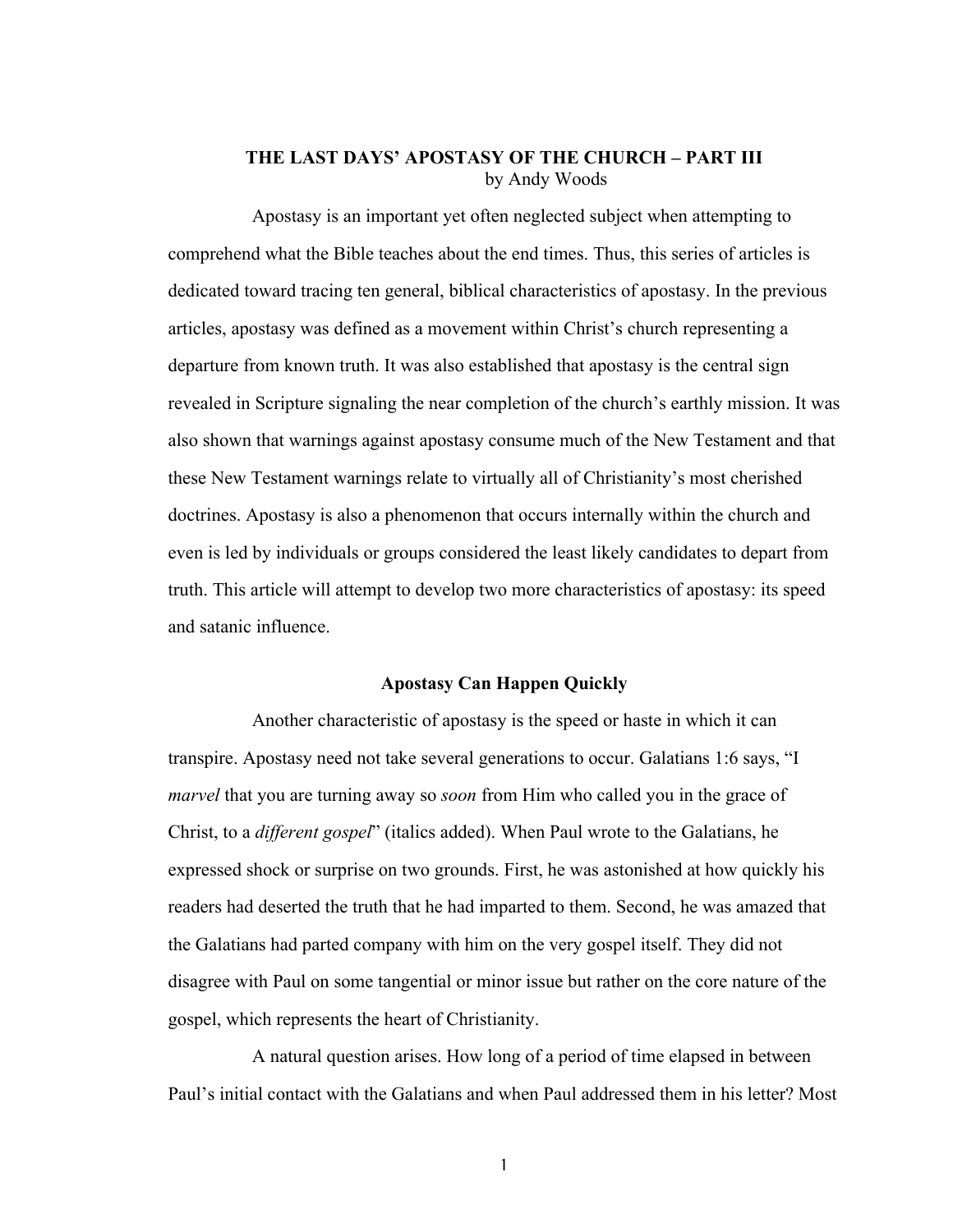## **THE LAST DAYS' APOSTASY OF THE CHURCH – PART III** by Andy Woods

Apostasy is an important yet often neglected subject when attempting to comprehend what the Bible teaches about the end times. Thus, this series of articles is dedicated toward tracing ten general, biblical characteristics of apostasy. In the previous articles, apostasy was defined as a movement within Christ's church representing a departure from known truth. It was also established that apostasy is the central sign revealed in Scripture signaling the near completion of the church's earthly mission. It was also shown that warnings against apostasy consume much of the New Testament and that these New Testament warnings relate to virtually all of Christianity's most cherished doctrines. Apostasy is also a phenomenon that occurs internally within the church and even is led by individuals or groups considered the least likely candidates to depart from truth. This article will attempt to develop two more characteristics of apostasy: its speed and satanic influence.

## **Apostasy Can Happen Quickly**

Another characteristic of apostasy is the speed or haste in which it can transpire. Apostasy need not take several generations to occur. Galatians 1:6 says, "I *marvel* that you are turning away so *soon* from Him who called you in the grace of Christ, to a *different gospel*" (italics added). When Paul wrote to the Galatians, he expressed shock or surprise on two grounds. First, he was astonished at how quickly his readers had deserted the truth that he had imparted to them. Second, he was amazed that the Galatians had parted company with him on the very gospel itself. They did not disagree with Paul on some tangential or minor issue but rather on the core nature of the gospel, which represents the heart of Christianity.

A natural question arises. How long of a period of time elapsed in between Paul's initial contact with the Galatians and when Paul addressed them in his letter? Most

1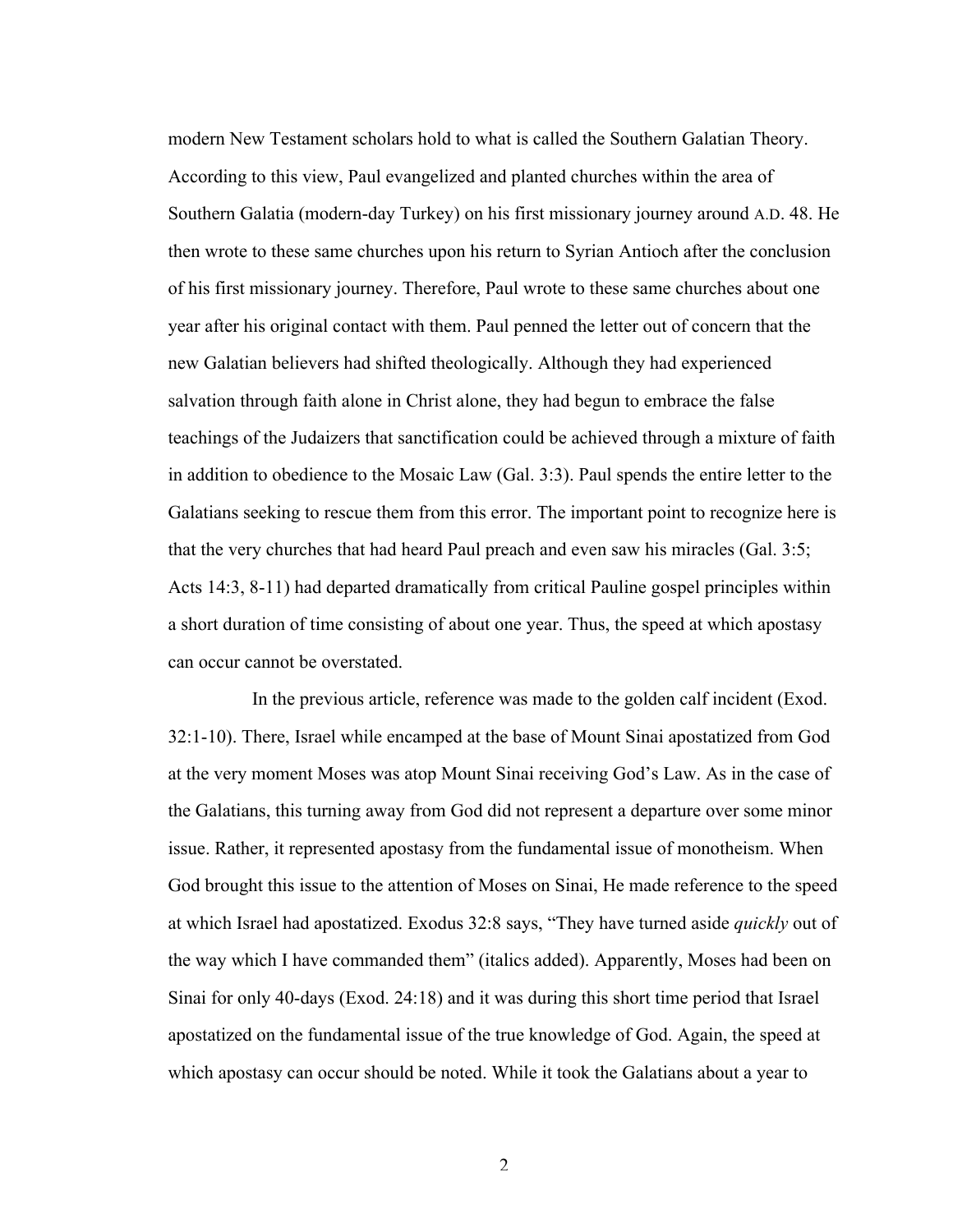modern New Testament scholars hold to what is called the Southern Galatian Theory. According to this view, Paul evangelized and planted churches within the area of Southern Galatia (modern-day Turkey) on his first missionary journey around A.D. 48. He then wrote to these same churches upon his return to Syrian Antioch after the conclusion of his first missionary journey. Therefore, Paul wrote to these same churches about one year after his original contact with them. Paul penned the letter out of concern that the new Galatian believers had shifted theologically. Although they had experienced salvation through faith alone in Christ alone, they had begun to embrace the false teachings of the Judaizers that sanctification could be achieved through a mixture of faith in addition to obedience to the Mosaic Law (Gal. 3:3). Paul spends the entire letter to the Galatians seeking to rescue them from this error. The important point to recognize here is that the very churches that had heard Paul preach and even saw his miracles (Gal. 3:5; Acts 14:3, 8-11) had departed dramatically from critical Pauline gospel principles within a short duration of time consisting of about one year. Thus, the speed at which apostasy can occur cannot be overstated.

In the previous article, reference was made to the golden calf incident (Exod. 32:1-10). There, Israel while encamped at the base of Mount Sinai apostatized from God at the very moment Moses was atop Mount Sinai receiving God's Law. As in the case of the Galatians, this turning away from God did not represent a departure over some minor issue. Rather, it represented apostasy from the fundamental issue of monotheism. When God brought this issue to the attention of Moses on Sinai, He made reference to the speed at which Israel had apostatized. Exodus 32:8 says, "They have turned aside *quickly* out of the way which I have commanded them" (italics added). Apparently, Moses had been on Sinai for only 40-days (Exod. 24:18) and it was during this short time period that Israel apostatized on the fundamental issue of the true knowledge of God. Again, the speed at which apostasy can occur should be noted. While it took the Galatians about a year to

 $\mathcal{L}$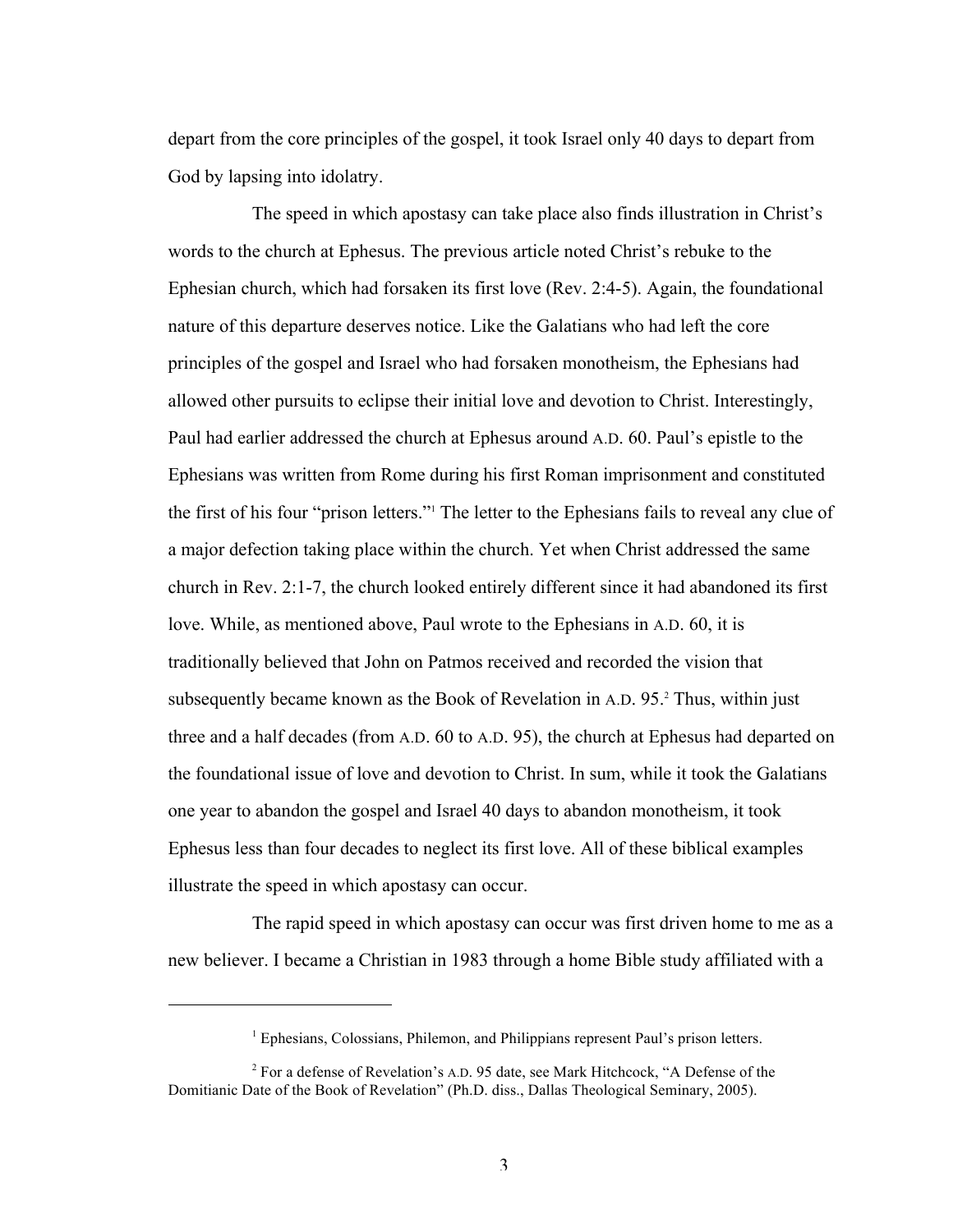depart from the core principles of the gospel, it took Israel only 40 days to depart from God by lapsing into idolatry.

The speed in which apostasy can take place also finds illustration in Christ's words to the church at Ephesus. The previous article noted Christ's rebuke to the Ephesian church, which had forsaken its first love (Rev. 2:4-5). Again, the foundational nature of this departure deserves notice. Like the Galatians who had left the core principles of the gospel and Israel who had forsaken monotheism, the Ephesians had allowed other pursuits to eclipse their initial love and devotion to Christ. Interestingly, Paul had earlier addressed the church at Ephesus around A.D. 60. Paul's epistle to the Ephesians was written from Rome during his first Roman imprisonment and constituted the first of his four "prison letters."1 The letter to the Ephesians fails to reveal any clue of a major defection taking place within the church. Yet when Christ addressed the same church in Rev. 2:1-7, the church looked entirely different since it had abandoned its first love. While, as mentioned above, Paul wrote to the Ephesians in A.D. 60, it is traditionally believed that John on Patmos received and recorded the vision that subsequently became known as the Book of Revelation in A.D. 95.2 Thus, within just three and a half decades (from A.D. 60 to A.D. 95), the church at Ephesus had departed on the foundational issue of love and devotion to Christ. In sum, while it took the Galatians one year to abandon the gospel and Israel 40 days to abandon monotheism, it took Ephesus less than four decades to neglect its first love. All of these biblical examples illustrate the speed in which apostasy can occur.

The rapid speed in which apostasy can occur was first driven home to me as a new believer. I became a Christian in 1983 through a home Bible study affiliated with a

 $\overline{a}$ 

<sup>&</sup>lt;sup>1</sup> Ephesians, Colossians, Philemon, and Philippians represent Paul's prison letters.

<sup>&</sup>lt;sup>2</sup> For a defense of Revelation's A.D. 95 date, see Mark Hitchcock, "A Defense of the Domitianic Date of the Book of Revelation" (Ph.D. diss., Dallas Theological Seminary, 2005).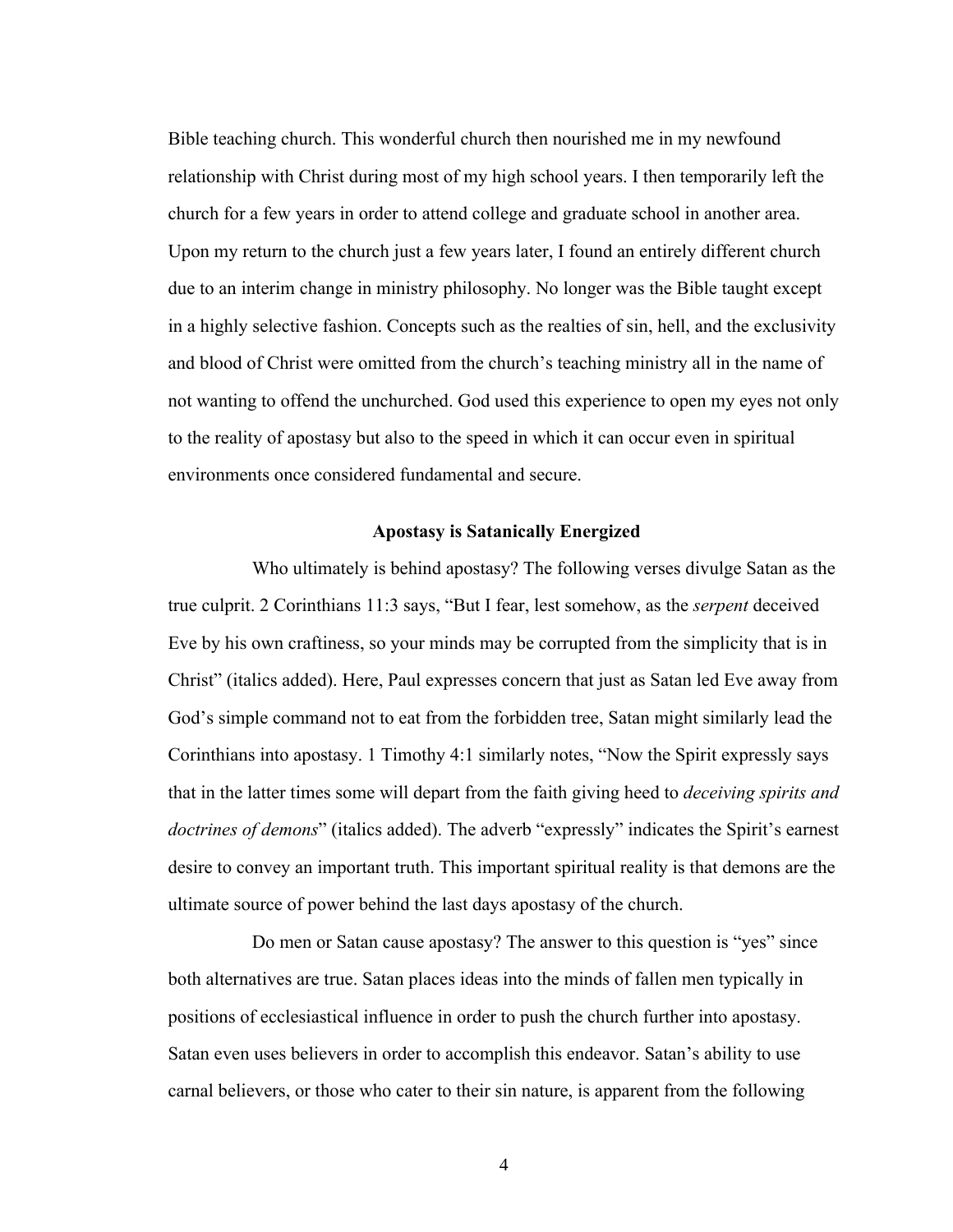Bible teaching church. This wonderful church then nourished me in my newfound relationship with Christ during most of my high school years. I then temporarily left the church for a few years in order to attend college and graduate school in another area. Upon my return to the church just a few years later, I found an entirely different church due to an interim change in ministry philosophy. No longer was the Bible taught except in a highly selective fashion. Concepts such as the realties of sin, hell, and the exclusivity and blood of Christ were omitted from the church's teaching ministry all in the name of not wanting to offend the unchurched. God used this experience to open my eyes not only to the reality of apostasy but also to the speed in which it can occur even in spiritual environments once considered fundamental and secure.

## **Apostasy is Satanically Energized**

Who ultimately is behind apostasy? The following verses divulge Satan as the true culprit. 2 Corinthians 11:3 says, "But I fear, lest somehow, as the *serpent* deceived Eve by his own craftiness, so your minds may be corrupted from the simplicity that is in Christ" (italics added). Here, Paul expresses concern that just as Satan led Eve away from God's simple command not to eat from the forbidden tree, Satan might similarly lead the Corinthians into apostasy. 1 Timothy 4:1 similarly notes, "Now the Spirit expressly says that in the latter times some will depart from the faith giving heed to *deceiving spirits and doctrines of demons*" (italics added). The adverb "expressly" indicates the Spirit's earnest desire to convey an important truth. This important spiritual reality is that demons are the ultimate source of power behind the last days apostasy of the church.

Do men or Satan cause apostasy? The answer to this question is "yes" since both alternatives are true. Satan places ideas into the minds of fallen men typically in positions of ecclesiastical influence in order to push the church further into apostasy. Satan even uses believers in order to accomplish this endeavor. Satan's ability to use carnal believers, or those who cater to their sin nature, is apparent from the following

4